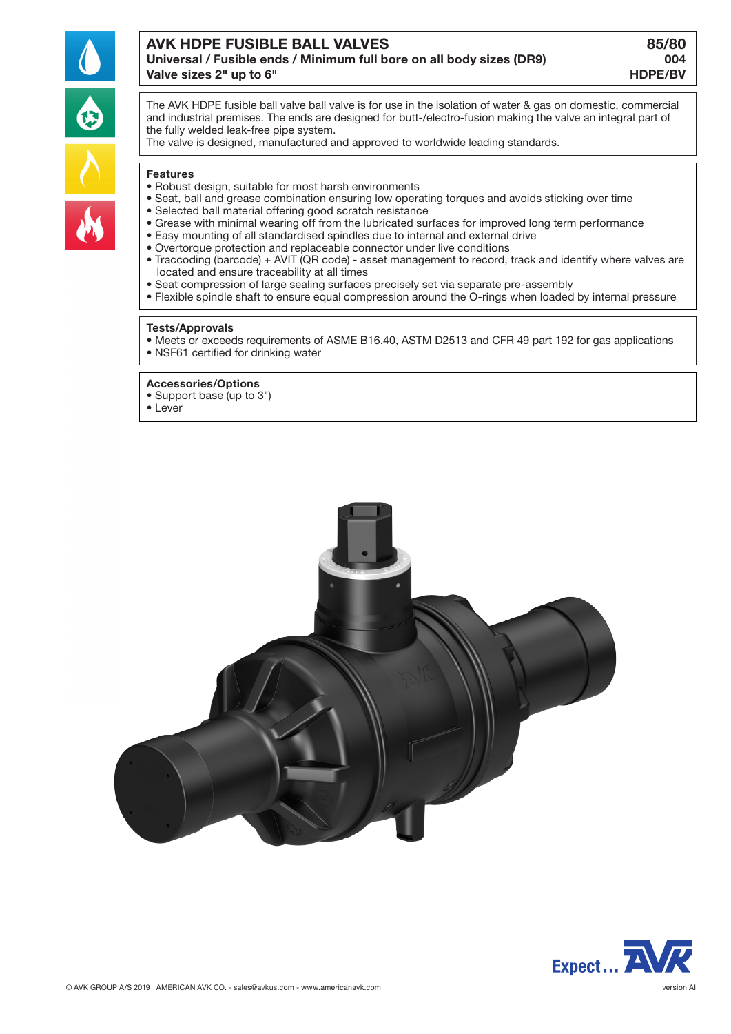

# AVK HDPE FUSIBLE BALL VALVES 85/80

## Universal / Fusible ends / Minimum full bore on all body sizes (DR9) 004 Valve sizes 2" up to 6" extending the sizes 2" up to 6"

The AVK HDPE fusible ball valve ball valve is for use in the isolation of water & gas on domestic, commercial and industrial premises. The ends are designed for butt-/electro-fusion making the valve an integral part of the fully welded leak-free pipe system.

The valve is designed, manufactured and approved to worldwide leading standards.

#### **Features**

- Robust design, suitable for most harsh environments
- Seat, ball and grease combination ensuring low operating torques and avoids sticking over time
- Selected ball material offering good scratch resistance
- Grease with minimal wearing off from the lubricated surfaces for improved long term performance
- Easy mounting of all standardised spindles due to internal and external drive
- Overtorque protection and replaceable connector under live conditions
- Traccoding (barcode) + AVIT (QR code) asset management to record, track and identify where valves are located and ensure traceability at all times
- Seat compression of large sealing surfaces precisely set via separate pre-assembly
- Flexible spindle shaft to ensure equal compression around the O-rings when loaded by internal pressure

#### Tests/Approvals

• Meets or exceeds requirements of ASME B16.40, ASTM D2513 and CFR 49 part 192 for gas applications • NSF61 certified for drinking water

#### Accessories/Options

• Support base (up to 3")

• Lever